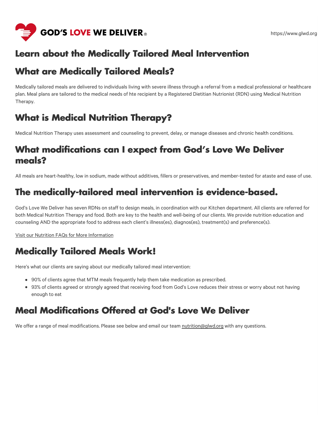

#### **Learn about the Medically Tailored Meal Intervention**

#### **What are Medically Tailored Meals?**

Medically tailored meals are delivered to individuals living with severe illness through a referral from a medical professional or healthcare plan. Meal plans are tailored to the medical needs of hte recipient by a Registered Dietitian Nutrionist (RDN) using Medical Nutrition Therapy.

# **What is Medical Nutrition Therapy?**

Medical Nutrition Therapy uses assessment and counseling to prevent, delay, or manage diseases and chronic health conditions.

## **What modifications can I expect from God's Love We Deliver meals?**

All meals are heart-healthy, low in sodium, made without additives, fillers or preservatives, and member-tested for ataste and ease of use.

## **The medically-tailored meal intervention is evidence-based.**

God's Love We Deliver has seven RDNs on staff to design meals, in coordination with our Kitchen department. All clients are referred for both Medical Nutrition Therapy and food. Both are key to the health and well-being of our clients. We provide nutrition education and counseling AND the appropriate food to address each client's illness(es), diagnos(es), treatment(s) and preference(s).

Visit our Nutrition FAQs for More [Information](https://www.glwd.org/food-is-medicine/nutrition/faqs-resources/)

# **Medically Tailored Meals Work!**

Here's what our clients are saying about our medically tailored meal intervention:

- 90% of clients agree that MTM meals frequently help them take medication as prescribed.
- 93% of clients agreed or strongly agreed that receiving food from God's Love reduces their stress or worry about not having enough to eat

#### **Meal Modifications Offered at God's Love We Deliver**

We offer a range of meal modifications. Please see below and email our team [nutrition@glwd.org](mailto:nutrition@glwd.org) with any questions.